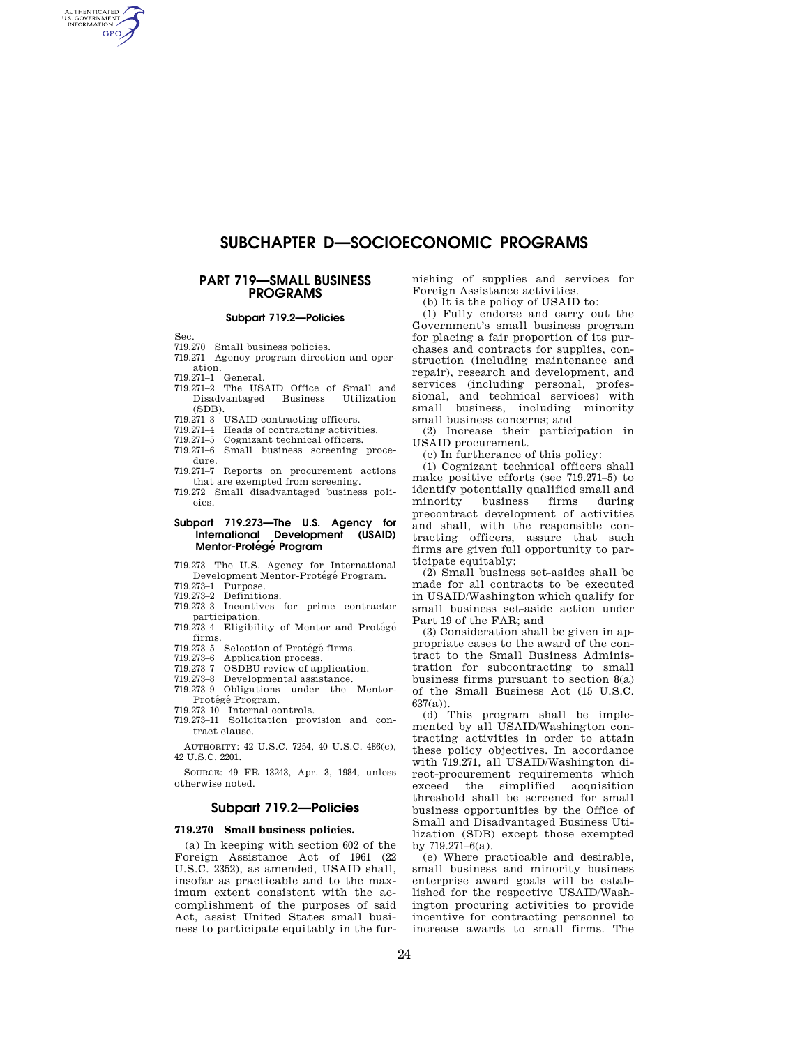# **SUBCHAPTER D—SOCIOECONOMIC PROGRAMS**

## **PART 719—SMALL BUSINESS PROGRAMS**

### **Subpart 719.2—Policies**

Sec.

AUTHENTICATED **GPO** 

#### 719.270 Small business policies.

- 719.271 Agency program direction and operation.
- 
- 719.271–1 General. 719.271–2 The USAID Office of Small and Disadvantaged Business Utilization (SDB).<br>719.271–3
- 719.271–3 USAID contracting officers.
- 719.271–4 Heads of contracting activities.
- 719.271–5 Cognizant technical officers. Small business screening proce-
- dure.

719.271–7 Reports on procurement actions that are exempted from screening.

719.272 Small disadvantaged business policies.

#### **Subpart 719.273—The U.S. Agency for International Development (USAID) Mentor-Prote´ge´ Program**

719.273 The U.S. Agency for International Development Mentor-Protégé Program.

- 719.273–1 Purpose.
- 719.273–2 Definitions.
- 719.273–3 Incentives for prime contractor participation.
- 719.273-4 Eligibility of Mentor and Protégé firms.
- 719.273–5 Selection of Protégé firms.<br>719.273–6 Application process.
- 719.273–6 Application process.<br>719.273–7 OSDBU review of an
- 719.273–7 OSDBU review of application.<br>719.273–8 Developmental assistance. Developmental assistance.
- 719.273–9 Obligations under the Mentor-
- Protégé Program.
- 719.273–10 Internal controls.
- 719.273–11 Solicitation provision and contract clause.

AUTHORITY: 42 U.S.C. 7254, 40 U.S.C. 486(c), 42 U.S.C. 2201.

SOURCE: 49 FR 13243, Apr. 3, 1984, unless otherwise noted.

## **Subpart 719.2—Policies**

#### **719.270 Small business policies.**

(a) In keeping with section 602 of the Foreign Assistance Act of 1961 (22 U.S.C. 2352), as amended, USAID shall, insofar as practicable and to the maximum extent consistent with the accomplishment of the purposes of said Act, assist United States small business to participate equitably in the furnishing of supplies and services for Foreign Assistance activities.

(b) It is the policy of USAID to:

(1) Fully endorse and carry out the Government's small business program for placing a fair proportion of its purchases and contracts for supplies, construction (including maintenance and repair), research and development, and services (including personal, professional, and technical services) with small business, including minority small business concerns; and

(2) Increase their participation in USAID procurement.

(c) In furtherance of this policy:

(1) Cognizant technical officers shall make positive efforts (see 719.271–5) to identify potentially qualified small and minority business firms during precontract development of activities and shall, with the responsible contracting officers, assure that such firms are given full opportunity to participate equitably;

(2) Small business set-asides shall be made for all contracts to be executed in USAID/Washington which qualify for small business set-aside action under Part 19 of the FAR; and

(3) Consideration shall be given in appropriate cases to the award of the contract to the Small Business Administration for subcontracting to small business firms pursuant to section 8(a) of the Small Business Act (15 U.S.C.  $637(a)$ 

(d) This program shall be implemented by all USAID/Washington contracting activities in order to attain these policy objectives. In accordance with 719.271, all USAID/Washington direct-procurement requirements which exceed the simplified acquisition threshold shall be screened for small business opportunities by the Office of Small and Disadvantaged Business Utilization (SDB) except those exempted by 719.271–6(a).

(e) Where practicable and desirable, small business and minority business enterprise award goals will be established for the respective USAID/Washington procuring activities to provide incentive for contracting personnel to increase awards to small firms. The